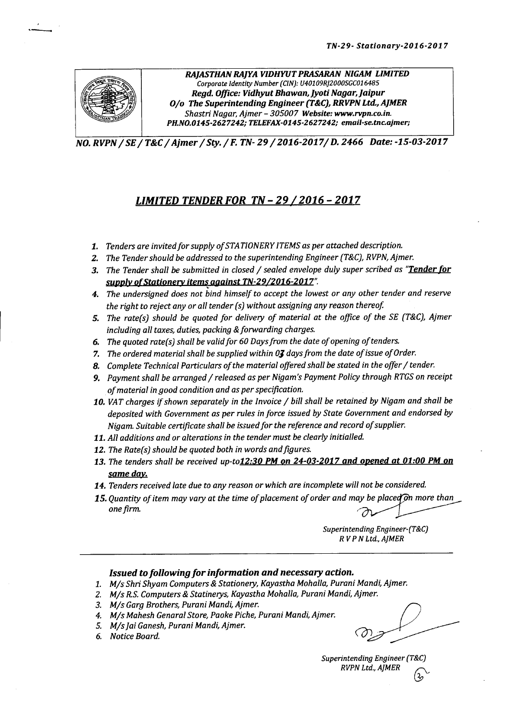

 $\frac{1}{2}$ 

*RAJASTHAN RAJYA VIDHYUT PRASARAN NIGAM LIMITED Corporate Identity Number (CIN): U40109Rj2000SGCOl6485 Regd. Office: Vidhyut Bhawan,JyoU Nagar, joipur <sup>010</sup> The Superintending Engineer (T&C),RRVPN ua;AJMER Shastri Nagar, Ajmer - 305007 Website: www.rvpn.co.in. PH.NO.014S-2627242j TELEFAX-014S-2627242j email-se.tnc.ajmer;*

*NO.RVPN/ SE/T&C/ Ajmer /Sty./* F. *TN-29/2016-2017/* D. 2466 *Date:-15-03-2017*

### *LIMITED TENDERFOR TN -* 29 *12016 - 2017*

- *1. Tenders are invited for supply of STATIONERY ITEMS as per attached description.*
- *Z. The Tender should be addressed to the superintending Engineer (T&C),RVPN,Ajmer.*
- *3. The Tender shall be submitted in closed Isealed envelope duly super scribed as "Tender for supply of Stationery items against TN-29/2016-2017".*
- *4. The undersigned does not bind himself to accept the lowest* or *any other tender and reserve the right to reject any* or *all tender (s) without assigning any reason thereof.*
- *5. The rate(s) should be quoted for delivery of material at the office of the SE (T&C), Ajmer including all taxes, duties, packing &forwarding charges.*
- *6. The quoted rate(s) shall be validfor 60 Daysfrom the date of opening of tenders.*
- *7. The ordered material shall be supplied within OJ daysfrom the date of issue of Order.*
- *8. Complete Technical Particulars of the material offered shall be stated in the offer Itender.*
- *9. Payment shall be arranged Ireleased as per Nigam's Payment Policy through RTGS on receipt of material in good condition and as per specification.*
- *10. VAT charges ifshown separately in the Invoice I bill shall be retained by Nigam and shall be deposited with Government as per rules in force issued by State Government and endorsed by Nigam. Suitable certificate shall be issued for the reference and record of supplier.*
- *11. All additions and* or *alterations in the tender must be clearly initialled.*
- *12. The Rate(s) should be quoted both in words andfigures.*
- *13. The tenders shall be received up-t01Z:30* PMon *Z4-03-Z017 and opened at 01:00* PMOn *same day.*
- *14. Tenders received late due to any reason* or *which are incomplete will not be considered.*
- 15. Quantity of item may vary at the time of placement of order and may be placed on more than *one firm. ~~*

*SuperintendingEngineer-(T&C) R VP N Ltd.,AJMER*

#### *Issued tofollOWingfor information and necessary action.*

- *1. Mis Shri Shyam Computers* &*Stationery, Kayastha Mohalla, Purani Mandi, Ajmer.*
- *2. Mis R.S.Computers* & *Statinerys, Kayastha Mohalla, Purani Mundi, Ajmer.*
- *3. Mis Garg Brothers, Purani Mandi, Ajmer. ~*
- *4. Mis Mahesh Genaral Store, Paoke Piche, Purani Mundi, Ajmer.*
- *5. Mis [a! Ganesh, Purani Mandi, Ajmer. ~ \_\_\_\_*
- $6.$  *Notice Board.*

*SuperintendingEngineer(T&C) RVPN Ltd., AJMER (3;'-*